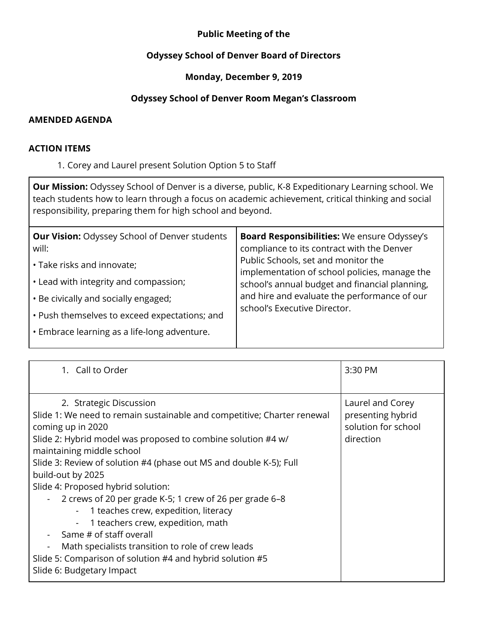# **Public Meeting of the**

### **Odyssey School of Denver Board of Directors**

# **Monday, December 9, 2019**

# **Odyssey School of Denver Room Megan's Classroom**

#### **AMENDED AGENDA**

#### **ACTION ITEMS**

1. Corey and Laurel present Solution Option 5 to Staff

**Our Mission:** Odyssey School of Denver is a diverse, public, K-8 Expeditionary Learning school. We teach students how to learn through a focus on academic achievement, critical thinking and social responsibility, preparing them for high school and beyond.

| 1. Call to Order                                                                                                                                                                                                                                                                                                                                                                                                                                                                                                                                                                                                                                                                                                                                        | 3:30 PM                                                                   |
|---------------------------------------------------------------------------------------------------------------------------------------------------------------------------------------------------------------------------------------------------------------------------------------------------------------------------------------------------------------------------------------------------------------------------------------------------------------------------------------------------------------------------------------------------------------------------------------------------------------------------------------------------------------------------------------------------------------------------------------------------------|---------------------------------------------------------------------------|
| 2. Strategic Discussion<br>Slide 1: We need to remain sustainable and competitive; Charter renewal<br>coming up in 2020<br>Slide 2: Hybrid model was proposed to combine solution #4 w/<br>maintaining middle school<br>Slide 3: Review of solution #4 (phase out MS and double K-5); Full<br>build-out by 2025<br>Slide 4: Proposed hybrid solution:<br>2 crews of 20 per grade K-5; 1 crew of 26 per grade 6-8<br>$\sim$ $-$<br>- 1 teaches crew, expedition, literacy<br>1 teachers crew, expedition, math<br>$\blacksquare$<br>Same # of staff overall<br>$\overline{\phantom{0}}$<br>Math specialists transition to role of crew leads<br>$\blacksquare$<br>Slide 5: Comparison of solution #4 and hybrid solution #5<br>Slide 6: Budgetary Impact | Laurel and Corey<br>presenting hybrid<br>solution for school<br>direction |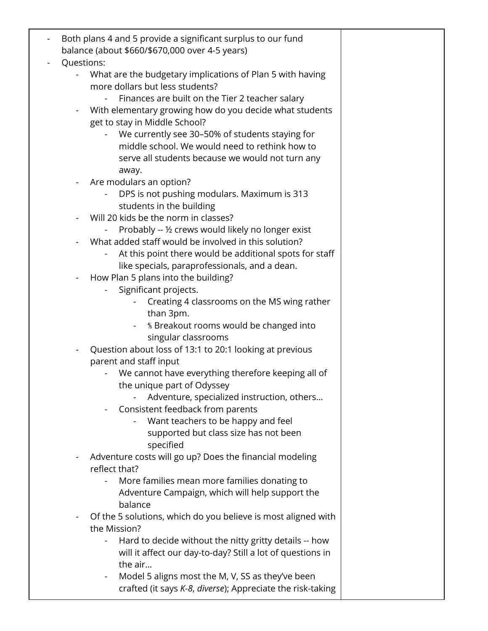|            | Both plans 4 and 5 provide a significant surplus to our fund                                 |  |
|------------|----------------------------------------------------------------------------------------------|--|
|            | balance (about \$660/\$670,000 over 4-5 years)                                               |  |
| Questions: |                                                                                              |  |
|            | What are the budgetary implications of Plan 5 with having<br>more dollars but less students? |  |
|            |                                                                                              |  |
|            | Finances are built on the Tier 2 teacher salary                                              |  |
|            | With elementary growing how do you decide what students                                      |  |
|            | get to stay in Middle School?<br>- We currently see 30-50% of students staying for           |  |
|            | middle school. We would need to rethink how to                                               |  |
|            | serve all students because we would not turn any                                             |  |
|            | away.                                                                                        |  |
|            | Are modulars an option?                                                                      |  |
|            | DPS is not pushing modulars. Maximum is 313                                                  |  |
|            | students in the building                                                                     |  |
|            | Will 20 kids be the norm in classes?                                                         |  |
|            | Probably -- 1/2 crews would likely no longer exist                                           |  |
|            | What added staff would be involved in this solution?                                         |  |
|            | At this point there would be additional spots for staff<br>$\qquad \qquad \blacksquare$      |  |
|            | like specials, paraprofessionals, and a dean.                                                |  |
|            | How Plan 5 plans into the building?                                                          |  |
|            | Significant projects.                                                                        |  |
|            | Creating 4 classrooms on the MS wing rather                                                  |  |
|            | than 3pm.                                                                                    |  |
|            | % Breakout rooms would be changed into<br>$\overline{\phantom{0}}$                           |  |
|            | singular classrooms                                                                          |  |
|            | Question about loss of 13:1 to 20:1 looking at previous                                      |  |
|            | parent and staff input                                                                       |  |
|            | We cannot have everything therefore keeping all of                                           |  |
|            | the unique part of Odyssey<br>Adventure, specialized instruction, others                     |  |
|            | Consistent feedback from parents                                                             |  |
|            | Want teachers to be happy and feel                                                           |  |
|            | supported but class size has not been                                                        |  |
|            | specified                                                                                    |  |
|            | Adventure costs will go up? Does the financial modeling                                      |  |
|            | reflect that?                                                                                |  |
|            | More families mean more families donating to                                                 |  |
|            | Adventure Campaign, which will help support the                                              |  |
|            | balance                                                                                      |  |
|            | Of the 5 solutions, which do you believe is most aligned with                                |  |
|            | the Mission?                                                                                 |  |
|            | Hard to decide without the nitty gritty details -- how<br>$\overline{\phantom{a}}$           |  |
|            | will it affect our day-to-day? Still a lot of questions in<br>the air                        |  |
|            | Model 5 aligns most the M, V, SS as they've been<br>$\blacksquare$                           |  |
|            | crafted (it says K-8, diverse); Appreciate the risk-taking                                   |  |
|            |                                                                                              |  |